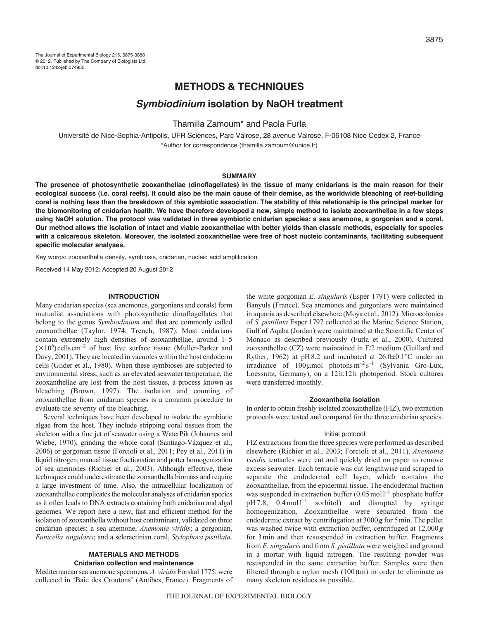# **METHODS & TECHNIQUES**

# *Symbiodinium* **isolation by NaOH treatment**

## Thamilla Zamoum\* and Paola Furla

Université de Nice-Sophia-Antipolis, UFR Sciences, Parc Valrose, 28 avenue Valrose, F-06108 Nice Cedex 2, France \*Author for correspondence (thamilla.zamoum@unice.fr)

### **SUMMARY**

**The presence of photosynthetic zooxanthellae (dinoflagellates) in the tissue of many cnidarians is the main reason for their ecological success (i.e. coral reefs). It could also be the main cause of their demise, as the worldwide bleaching of reef-building coral is nothing less than the breakdown of this symbiotic association. The stability of this relationship is the principal marker for the biomonitoring of cnidarian health. We have therefore developed a new, simple method to isolate zooxanthellae in a few steps using NaOH solution. The protocol was validated in three symbiotic cnidarian species: a sea anemone, a gorgonian and a coral. Our method allows the isolation of intact and viable zooxanthellae with better yields than classic methods, especially for species with a calcareous skeleton. Moreover, the isolated zooxanthellae were free of host nucleic contaminants, facilitating subsequent specific molecular analyses.**

Key words: zooxanthella density, symbiosis, cnidarian, nucleic acid amplification.

Received 14 May 2012; Accepted 20 August 2012

#### **INTRODUCTION**

Many cnidarian species (sea anemones, gorgonians and corals) form mutualist associations with photosynthetic dinoflagellates that belong to the genus *Symbiodinium* and that are commonly called zooxanthellae (Taylor, 1974; Trench, 1987). Most cnidarians contain extremely high densities of zooxanthellae, around 1–5  $(\times 10^6)$  cells cm<sup>-2</sup> of host live surface tissue (Muller-Parker and Davy, 2001). They are located in vacuoles within the host endoderm cells (Glider et al., 1980). When these symbioses are subjected to environmental stress, such as an elevated seawater temperature, the zooxanthellae are lost from the host tissues, a process known as bleaching (Brown, 1997). The isolation and counting of zooxanthellae from cnidarian species is a common procedure to evaluate the severity of the bleaching.

Several techniques have been developed to isolate the symbiotic algae from the host. They include stripping coral tissues from the skeleton with a fine jet of seawater using a WaterPik (Johannes and Wiebe, 1970), grinding the whole coral (Santiago-Vázquez et al., 2006) or gorgonian tissue (Forcioli et al., 2011; Pey et al., 2011) in liquid nitrogen, manual tissue fractionation and potter homogenization of sea anemones (Richier et al., 2003). Although effective, these techniques could underestimate the zooxanthella biomass and require a large investment of time. Also, the intracellular localization of zooxanthellae complicates the molecular analyses of cnidarian species as it often leads to DNA extracts containing both cnidarian and algal genomes. We report here a new, fast and efficient method for the isolation of zooxanthella without host contaminant, validated on three cnidarian species: a sea anemone, *Anemonia viridis*; a gorgonian, *Eunicella singularis*; and a scleractinian coral, *Stylophora pistillata*.

# **MATERIALS AND METHODS**

## **Cnidarian collection and maintenance**

Mediterranean sea anemone specimens, *A. viridis* Forskål 1775, were collected in 'Baie des Croutons' (Antibes, France). Fragments of the white gorgonian *E. singularis* (Esper 1791) were collected in Banyuls (France). Sea anemones and gorgonians were maintained in aquaria as described elsewhere (Moya et al., 2012). Microcolonies of *S. pistillata* Esper 1797 collected at the Marine Science Station, Gulf of Aqaba (Jordan) were maintained at the Scientific Center of Monaco as described previously (Furla et al., 2000). Cultured zooxanthellae (CZ) were maintained in F/2 medium (Guillard and Ryther, 1962) at pH8.2 and incubated at  $26.0\pm0.1^{\circ}$ C under an irradiance of  $100 \mu$ mol photonsm<sup>-2</sup> s<sup>-1</sup> (Sylvania Gro-Lux, Loessnitz, Germany), on a 12h:12h photoperiod. Stock cultures were transferred monthly.

#### **Zooxanthella isolation**

In order to obtain freshly isolated zooxanthellae (FIZ), two extraction protocols were tested and compared for the three cnidarian species.

#### Initial protocol

FIZ extractions from the three species were performed as described elsewhere (Richier et al., 2003; Forcioli et al., 2011). *Anemonia viridis* tentacles were cut and quickly dried on paper to remove excess seawater. Each tentacle was cut lengthwise and scraped to separate the endodermal cell layer, which contains the zooxanthellae, from the epidermal tissue. The endodermal fraction was suspended in extraction buffer  $(0.05 \text{ mol}^{-1})$  phosphate buffer  $pH 7.8$ , 0.4 mol l<sup>-1</sup> sorbitol) and disrupted by syringe homogenization. Zooxanthellae were separated from the endodermic extract by centrifugation at 3000*g* for 5min. The pellet was washed twice with extraction buffer, centrifuged at 12,000*g* for 3min and then resuspended in extraction buffer. Fragments from *E. singularis* and from *S. pistillata* were weighed and ground in a mortar with liquid nitrogen. The resulting powder was resuspended in the same extraction buffer. Samples were then filtered through a nylon mesh  $(100 \,\mu m)$  in order to eliminate as many skeleton residues as possible.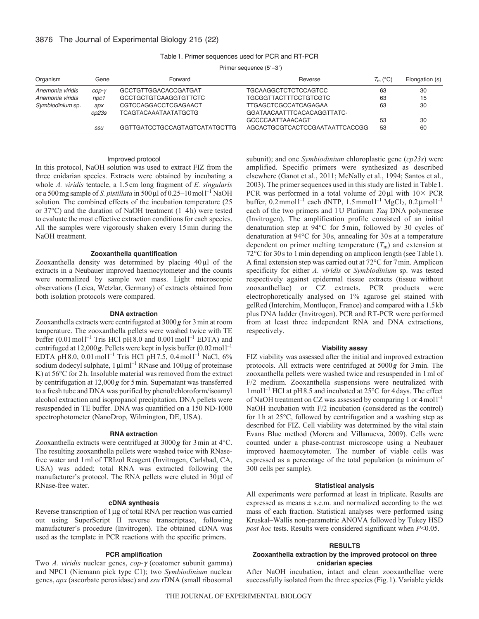| Organism         | Gene                               | Primer sequence (5'-3')       |                                |            |                |
|------------------|------------------------------------|-------------------------------|--------------------------------|------------|----------------|
|                  |                                    | Forward                       | Reverse                        | $T_m$ (°C) | Elongation (s) |
| Anemonia viridis | $\mathcal{C}$ <i>Op</i> - $\gamma$ | GCCTGTTGGACACCGATGAT          | TGCAAGGCTCTCTCCAGTCC           | 63         | 30             |
| Anemonia viridis | npc1                               | GCCTGCTGTCAAGGTGTTCTC         | <b>TGCGGTTACTTTCCTGTCGTC</b>   | 63         | 15             |
| Symbiodinium sp. | apx                                | CGTCCAGGACCTCGAGAACT          | <b>TTGAGCTCGCCATCAGAGAA</b>    | 63         | 30             |
|                  | cp23s                              | <b>TCAGTACAAATAATATGCTG</b>   | GGATAACAATTTCACACAGGTTATC-     |            |                |
|                  |                                    |                               | <b>GCCCCAATTAAACAGT</b>        | 53         | 30             |
|                  | SSU                                | GGTTGATCCTGCCAGTAGTCATATGCTTG | AGCACTGCGTCACTCCGAATAATTCACCGG | 53         | 60             |

Table1. Primer sequences used for PCR and RT-PCR

## Improved protocol

In this protocol, NaOH solution was used to extract FIZ from the three cnidarian species. Extracts were obtained by incubating a whole *A. viridis* tentacle, a 1.5cm long fragment of *E. singularis* or a 500 mg sample of *S. pistillata* in 500 µl of 0.25–10 mol<sup>1-1</sup> NaOH solution. The combined effects of the incubation temperature (25 or 37°C) and the duration of NaOH treatment (1–4h) were tested to evaluate the most effective extraction conditions for each species. All the samples were vigorously shaken every 15min during the NaOH treatment.

### **Zooxanthella quantification**

Zooxanthella density was determined by placing  $40 \mu l$  of the extracts in a Neubauer improved haemocytometer and the counts were normalized by sample wet mass. Light microscopic observations (Leica, Wetzlar, Germany) of extracts obtained from both isolation protocols were compared.

#### **DNA extraction**

Zooxanthella extracts were centrifugated at 3000*g* for 3min at room temperature. The zooxanthella pellets were washed twice with TE buffer  $(0.01 \text{ mol}^{-1}$  Tris HCl pH8.0 and  $0.001 \text{ mol}^{-1}$  EDTA) and centrifuged at  $12,000g$ . Pellets were kept in lysis buffer  $(0.02 \text{ mol})^{-1}$ EDTA pH8.0, 0.01 mol<sup>1-1</sup> Tris HCl pH7.5, 0.4 mol<sup>1-1</sup> NaCl, 6% sodium dodecyl sulphate,  $1 \mu I \text{m}^{-1}$  RNase and  $100 \mu g$  of proteinase K) at 56°C for 2h. Insoluble material was removed from the extract by centrifugation at 12,000*g* for 5min. Supernatant was transferred to a fresh tube and DNA was purified by phenol/chloroform/isoamyl alcohol extraction and isopropanol precipitation. DNA pellets were resuspended in TE buffer. DNA was quantified on a 150 ND-1000 spectrophotometer (NanoDrop, Wilmington, DE, USA).

#### **RNA extraction**

Zooxanthella extracts were centrifuged at 3000*g* for 3min at 4°C. The resulting zooxanthella pellets were washed twice with RNasefree water and 1ml of TRIzol Reagent (Invitrogen, Carlsbad, CA, USA) was added; total RNA was extracted following the manufacturer's protocol. The RNA pellets were eluted in  $30 \mu$ l of RNase-free water.

## **cDNA synthesis**

Reverse transcription of 1 µg of total RNA per reaction was carried out using SuperScript II reverse transcriptase, following manufacturer's procedure (Invitrogen). The obtained cDNA was used as the template in PCR reactions with the specific primers.

## **PCR amplification**

Two *A. viridis* nuclear genes, *cop-γ* (coatomer subunit gamma) and NPC1 (Niemann pick type C1); two *Symbiodinium* nuclear genes, *apx* (ascorbate peroxidase) and *ssu* rDNA (small ribosomal subunit); and one *Symbiodinium* chloroplastic gene (*cp23s*) were amplified. Specific primers were synthesized as described elsewhere (Ganot et al., 2011; McNally et al., 1994; Santos et al., 2003). The primer sequences used in this study are listed in Table1. PCR was performed in a total volume of  $20\mu$ l with  $10\times$  PCR buffer,  $0.2 \text{mmol}^{-1}$  each dNTP,  $1.5 \text{mmol}^{-1}$  MgCl<sub>2</sub>,  $0.2 \mu \text{mol}^{-1}$ each of the two primers and 1U Platinum *Taq* DNA polymerase (Invitrogen). The amplification profile consisted of an initial denaturation step at 94°C for 5min, followed by 30 cycles of denaturation at 94°C for 30 s, annealing for 30 s at a temperature dependent on primer melting temperature  $(T<sub>m</sub>)$  and extension at 72<sup>o</sup>C for 30 s to 1 min depending on amplicon length (see Table 1). A final extension step was carried out at 72°C for 7min. Amplicon specificity for either *A. viridis* or *Symbiodinium* sp. was tested respectively against epidermal tissue extracts (tissue without zooxanthellae) or CZ extracts. PCR products were electrophoretically analysed on 1% agarose gel stained with gelRed (Interchim, Montluçon, France) and compared with a 1.5kb plus DNA ladder (Invitrogen). PCR and RT-PCR were performed from at least three independent RNA and DNA extractions, respectively.

#### **Viability assay**

FIZ viability was assessed after the initial and improved extraction protocols. All extracts were centrifuged at 5000*g* for 3min. The zooxanthella pellets were washed twice and resuspended in 1ml of F/2 medium. Zooxanthella suspensions were neutralized with 1moll –1 HCl at pH8.5 and incubated at 25°C for 4days. The effect of NaOH treatment on CZ was assessed by comparing 1 or  $4 \text{ mol}^{-1}$ NaOH incubation with F/2 incubation (considered as the control) for 1h at 25°C, followed by centrifugation and a washing step as described for FIZ. Cell viability was determined by the vital stain Evans Blue method (Morera and Villanueva, 2009). Cells were counted under a phase-contrast microscope using a Neubauer improved haemocytometer. The number of viable cells was expressed as a percentage of the total population (a minimum of 300 cells per sample).

#### **Statistical analysis**

All experiments were performed at least in triplicate. Results are expressed as means  $\pm$  s.e.m. and normalized according to the wet mass of each fraction. Statistical analyses were performed using Kruskal–Wallis non-parametric ANOVA followed by Tukey HSD *post hoc* tests. Results were considered significant when *P*<0.05.

#### **RESULTS**

### **Zooxanthella extraction by the improved protocol on three cnidarian species**

After NaOH incubation, intact and clean zooxanthellae were successfully isolated from the three species (Fig.1). Variable yields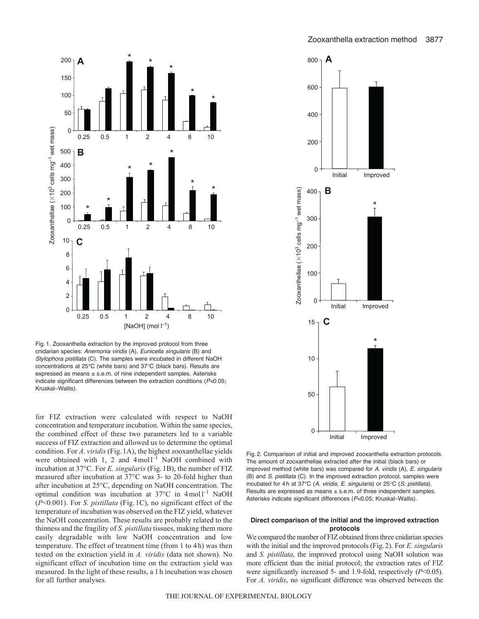



Fig. 1. Zooxanthella extraction by the improved protocol from three cnidarian species: *Anemonia viridis* (A), *Eunicella singularis* (B) and *Stylophora pistillata* (C). The samples were incubated in different NaOH concentrations at 25°C (white bars) and 37°C (black bars). Results are expressed as means ± s.e.m. of nine independent samples. Asterisks indicate significant differences between the extraction conditions (*P<*0.05; Kruskal–Wallis).

for FIZ extraction were calculated with respect to NaOH concentration and temperature incubation. Within the same species, the combined effect of these two parameters led to a variable success of FIZ extraction and allowed us to determine the optimal condition. For *A. viridis* (Fig.1A), the highest zooxanthellae yields were obtained with  $1$ , 2 and  $4$  moll<sup>-1</sup> NaOH combined with incubation at 37°C. For *E. singularis* (Fig. 1B), the number of FIZ measured after incubation at 37°C was 3- to 20-fold higher than after incubation at 25°C, depending on NaOH concentration. The optimal condition was incubation at 37°C in 4 moll<sup>-1</sup> NaOH (*P*<0.001). For *S. pistillata* (Fig. 1C), no significant effect of the temperature of incubation was observed on the FIZ yield, whatever the NaOH concentration. These results are probably related to the thinness and the fragility of *S. pistillata* tissues, making them more easily degradable with low NaOH concentration and low temperature. The effect of treatment time (from 1 to 4h) was then tested on the extraction yield in *A. viridis* (data not shown). No significant effect of incubation time on the extraction yield was measured. In the light of these results, a 1 h incubation was chosen for all further analyses.



Fig. 2. Comparison of initial and improved zooxanthella extraction protocols. The amount of zooxanthellae extracted after the initial (black bars) or improved method (white bars) was compared for *A. viridis* (A), *E. singularis* (B) and *S. pistillata* (C). In the improved extraction protocol, samples were incubated for 4 h at 37°C (*A. viridis*, *E. singularis*) or 25°C (*S. pistillata*). Results are expressed as means ± s.e.m. of three independent samples. Asterisks indicate significant differences (*P<*0.05; Kruskal–Wallis).

## **Direct comparison of the initial and the improved extraction protocols**

We compared the number of FIZ obtained from three cnidarian species with the initial and the improved protocols (Fig.2). For *E. singularis* and *S. pistillata*, the improved protocol using NaOH solution was more efficient than the initial protocol; the extraction rates of FIZ were significantly increased 5- and 1.9-fold, respectively (*P*<0.05). For *A. viridis*, no significant difference was observed between the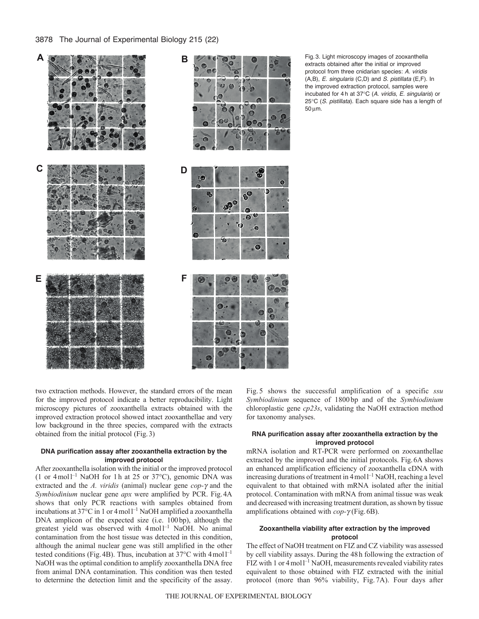## 3878 The Journal of Experimental Biology 215 (22)



Θ O

Fig. 3. Light microscopy images of zooxanthella extracts obtained after the initial or improved protocol from three cnidarian species: *A. viridis* (A,B), *E. singularis* (C,D) and *S. pistillata* (E,F). In the improved extraction protocol, samples were incubated for 4 h at 37°C (*A. viridis*, *E. singularis*) or 25°C (*S. pistillata*). Each square side has a length of 50 um.

two extraction methods. However, the standard errors of the mean for the improved protocol indicate a better reproducibility. Light microscopy pictures of zooxanthella extracts obtained with the improved extraction protocol showed intact zooxanthellae and very low background in the three species, compared with the extracts obtained from the initial protocol (Fig.3)

## **DNA purification assay after zooxanthella extraction by the improved protocol**

After zooxanthella isolation with the initial or the improved protocol  $(1 \text{ or } 4 \text{ mol})^{-1}$  NaOH for 1h at 25 or 37°C), genomic DNA was extracted and the  $A$ . *viridis* (animal) nuclear gene  $\text{cop-}\gamma$  and the *Symbiodinium* nuclear gene *apx* were amplified by PCR. Fig.4A shows that only PCR reactions with samples obtained from incubations at 37°C in 1 or 4 moll<sup>-1</sup> NaOH amplified a zooxanthella DNA amplicon of the expected size (i.e. 100 bp), although the greatest yield was observed with 4 mol<sup>1-1</sup> NaOH. No animal contamination from the host tissue was detected in this condition, although the animal nuclear gene was still amplified in the other tested conditions (Fig. 4B). Thus, incubation at  $37^{\circ}$ C with  $4 \text{ mol}^{-1}$ NaOH was the optimal condition to amplify zooxanthella DNA free from animal DNA contamination. This condition was then tested to determine the detection limit and the specificity of the assay.

Fig. 5 shows the successful amplification of a specific *ssu Symbiodinium* sequence of 1800 bp and of the *Symbiodinium* chloroplastic gene *cp23s*, validating the NaOH extraction method for taxonomy analyses.

## **RNA purification assay after zooxanthella extraction by the improved protocol**

mRNA isolation and RT-PCR were performed on zooxanthellae extracted by the improved and the initial protocols. Fig.6A shows an enhanced amplification efficiency of zooxanthella cDNA with increasing durations of treatment in  $4 \text{ mol}^{-1}$  NaOH, reaching a level equivalent to that obtained with mRNA isolated after the initial protocol. Contamination with mRNA from animal tissue was weak and decreased with increasing treatment duration, as shown by tissue amplifications obtained with  $\text{cop-}\gamma$  (Fig. 6B).

## **Zooxanthella viability after extraction by the improved protocol**

The effect of NaOH treatment on FIZ and CZ viability was assessed by cell viability assays. During the 48h following the extraction of FIZ with 1 or 4 mol<sup>1-1</sup> NaOH, measurements revealed viability rates equivalent to those obtained with FIZ extracted with the initial protocol (more than 96% viability, Fig. 7A). Four days after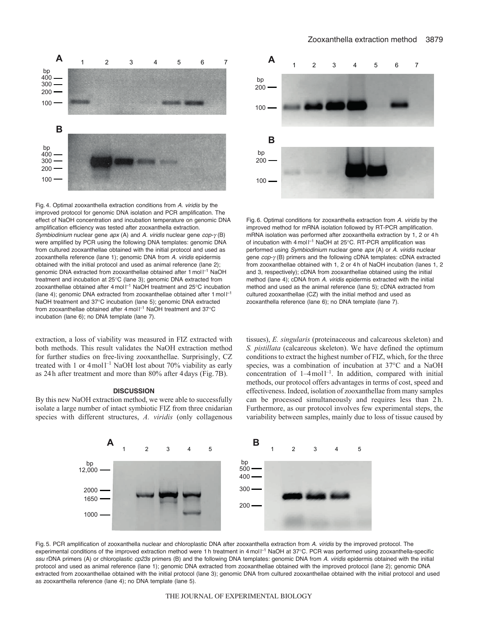

Fig. 4. Optimal zooxanthella extraction conditions from *A. viridis* by the improved protocol for genomic DNA isolation and PCR amplification. The effect of NaOH concentration and incubation temperature on genomic DNA amplification efficiency was tested after zooxanthella extraction. *Symbiodinium* nuclear gene *apx* (A) and *A. viridis* nuclear gene *cop-* $\gamma$  (B) were amplified by PCR using the following DNA templates: genomic DNA from cultured zooxanthellae obtained with the initial protocol and used as zooxanthella reference (lane 1); genomic DNA from *A. viridis* epidermis obtained with the initial protocol and used as animal reference (lane 2); genomic DNA extracted from zooxanthellae obtained after 1 mol l<sup>-1</sup> NaOH treatment and incubation at 25°C (lane 3); genomic DNA extracted from zooxanthellae obtained after 4 mol  $I^{-1}$  NaOH treatment and 25°C incubation (lane 4); genomic DNA extracted from zooxanthellae obtained after  $1 \text{ mol}^{-1}$ NaOH treatment and 37°C incubation (lane 5); genomic DNA extracted from zooxanthellae obtained after  $4 \text{ mol}$   $1^{-1}$  NaOH treatment and 37°C incubation (lane 6); no DNA template (lane 7).

extraction, a loss of viability was measured in FIZ extracted with both methods. This result validates the NaOH extraction method for further studies on free-living zooxanthellae. Surprisingly, CZ treated with 1 or  $4 \text{ mol}^{-1}$  NaOH lost about 70% viability as early as 24h after treatment and more than 80% after 4days (Fig.7B).

#### **DISCUSSION**

By this new NaOH extraction method, we were able to successfully isolate a large number of intact symbiotic FIZ from three cnidarian species with different structures, *A. viridis* (only collagenous



Fig. 6. Optimal conditions for zooxanthella extraction from *A. viridis* by the improved method for mRNA isolation followed by RT-PCR amplification. mRNA isolation was performed after zooxanthella extraction by 1, 2 or 4 h of incubation with 4 mol  $I^{-1}$  NaOH at 25°C. RT-PCR amplification was performed using *Symbiodinium* nuclear gene *apx* (A) or *A. viridis* nuclear gene  $cop-\gamma$  (B) primers and the following cDNA templates: cDNA extracted from zooxanthellae obtained with 1, 2 or 4 h of NaOH incubation (lanes 1, 2 and 3, respectively); cDNA from zooxanthellae obtained using the initial method (lane 4); cDNA from *A. viridis* epidermis extracted with the initial method and used as the animal reference (lane 5); cDNA extracted from cultured zooxanthellae (CZ) with the initial method and used as zooxanthella reference (lane 6); no DNA template (lane 7).

tissues), *E. singularis* (proteinaceous and calcareous skeleton) and *S. pistillata* (calcareous skeleton). We have defined the optimum conditions to extract the highest number of FIZ, which, for the three species, was a combination of incubation at 37°C and a NaOH concentration of  $1-4$  moll<sup>-1</sup>. In addition, compared with initial methods, our protocol offers advantages in terms of cost, speed and effectiveness. Indeed, isolation of zooxanthellae from many samples can be processed simultaneously and requires less than 2h. Furthermore, as our protocol involves few experimental steps, the variability between samples, mainly due to loss of tissue caused by



Fig. 5. PCR amplification of zooxanthella nuclear and chloroplastic DNA after zooxanthella extraction from *A. viridis* by the improved protocol. The experimental conditions of the improved extraction method were 1 h treatment in 4 mol <sup>-1</sup> NaOH at 37°C. PCR was performed using zooxanthella-specific *ssu* rDNA primers (A) or chloroplastic *cp23s* primers (B) and the following DNA templates: genomic DNA from *A. viridis* epidermis obtained with the initial protocol and used as animal reference (lane 1); genomic DNA extracted from zooxanthellae obtained with the improved protocol (lane 2); genomic DNA extracted from zooxanthellae obtained with the initial protocol (lane 3); genomic DNA from cultured zooxanthellae obtained with the initial protocol and used as zooxanthella reference (lane 4); no DNA template (lane 5).